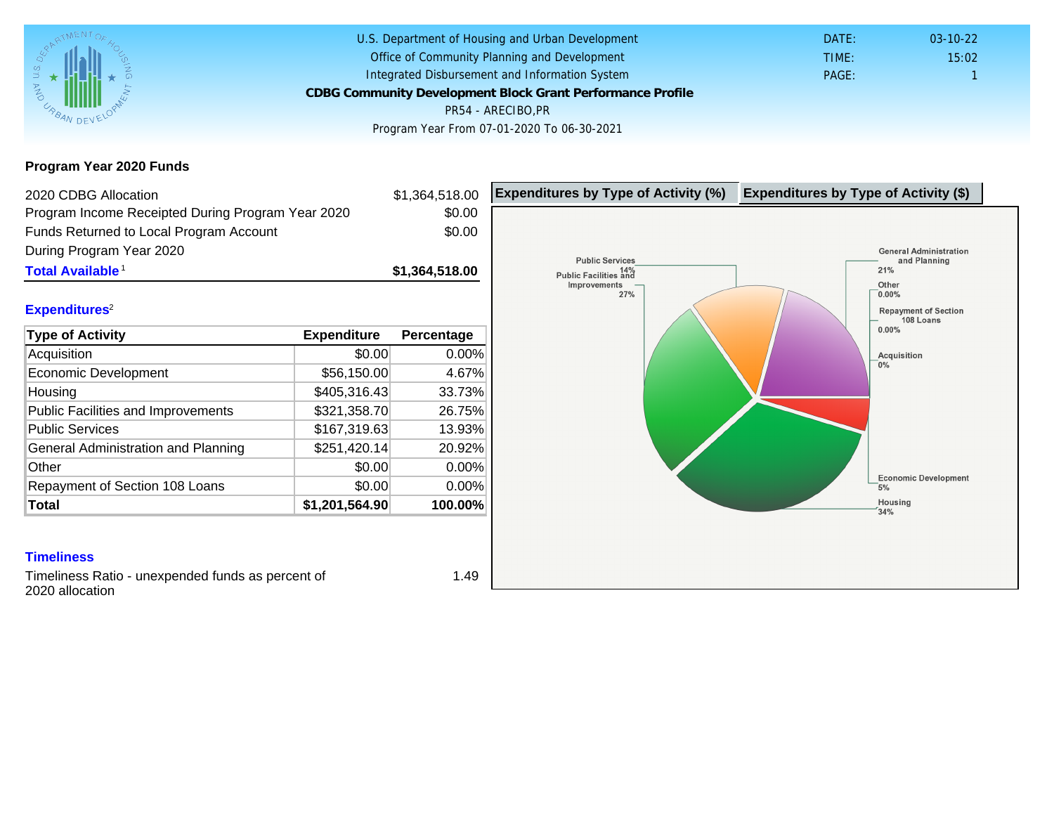Program Year 2020 Funds

| 2020 CDBG Allocation                              |                | \$1,364,518.00 | Expenditures by Type of Activity (%) | Expenditure |
|---------------------------------------------------|----------------|----------------|--------------------------------------|-------------|
| Program Income Receipted During Program Year 2020 |                | \$0.00         |                                      |             |
| Funds Returned to Local Program Account           |                | \$0.00         |                                      |             |
| During Program Year 2020                          |                |                |                                      |             |
| Total Available <sup>1</sup>                      |                | \$1,364,518.00 |                                      |             |
| Expenditures <sup>2</sup>                         |                |                |                                      |             |
|                                                   |                |                |                                      |             |
| Type of Activity                                  | Expenditure    | Percentage     |                                      |             |
| Acquisition                                       | \$0.00         | 0.00%          |                                      |             |
| <b>Economic Development</b>                       | \$56,150.00    | 4.67%          |                                      |             |
| Housing                                           | \$405,316.43   | 33.73%         |                                      |             |
| <b>Public Facilities and Improvements</b>         | \$321,358.70   | 26.75%         |                                      |             |
| <b>Public Services</b>                            | \$167,319.63   | 13.93%         |                                      |             |
| General Administration and Planning               | \$251,420.14]  | 20.92%         |                                      |             |
| Other                                             | \$0.00         | 0.00%          |                                      |             |
| Repayment of Section 108 Loans                    | \$0.00         | 0.00%          |                                      |             |
| Total                                             | \$1,201,564.90 | 100.00%        |                                      |             |
|                                                   |                |                |                                      |             |
| <b>Timeliness</b>                                 |                |                |                                      |             |
| Timeliness Ratio - unexpended funds as percent of |                | 1 <sub>A</sub> |                                      |             |

Timeliness Ratio - unexpended funds as percent of 2020 allocation

1.49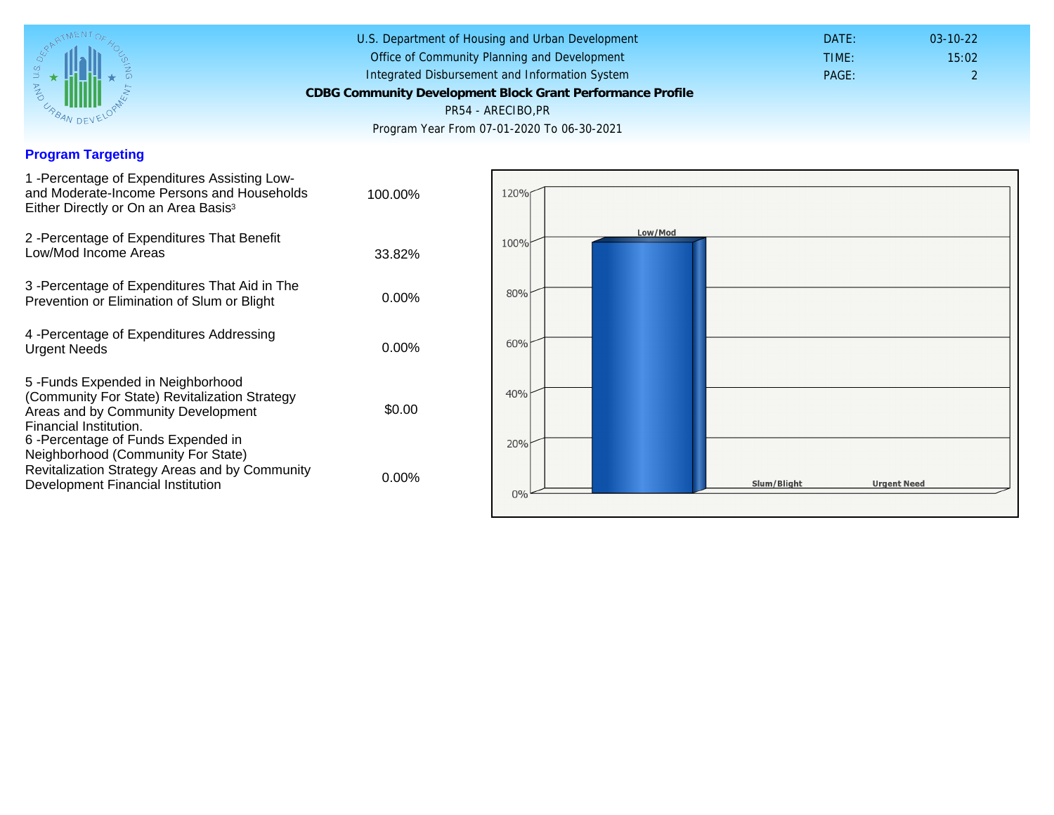## Program Targeting

| 1 - Percentage of Expenditures Assisting Low-<br>and Moderate-Income Persons and Households<br>Either Directly or On an Area Basis <sup>3</sup>                                                                              | 100.00%  |
|------------------------------------------------------------------------------------------------------------------------------------------------------------------------------------------------------------------------------|----------|
| 2 - Percentage of Expenditures That Benefit<br>Low/Mod Income Areas                                                                                                                                                          | 33.82%   |
| 3 -Percentage of Expenditures That Aid in The<br>Prevention or Elimination of Slum or Blight                                                                                                                                 | $0.00\%$ |
| 4 - Percentage of Expenditures Addressing<br><b>Urgent Needs</b>                                                                                                                                                             | $0.00\%$ |
| 5-Funds Expended in Neighborhood<br>(Community For State) Revitalization Strategy<br>Areas and by Community Development<br>Financial Institution.<br>6-Percentage of Funds Expended in<br>Neighborhood (Community For State) | \$0.00   |
| Revitalization Strategy Areas and by Community<br>Development Financial Institution                                                                                                                                          | $0.00\%$ |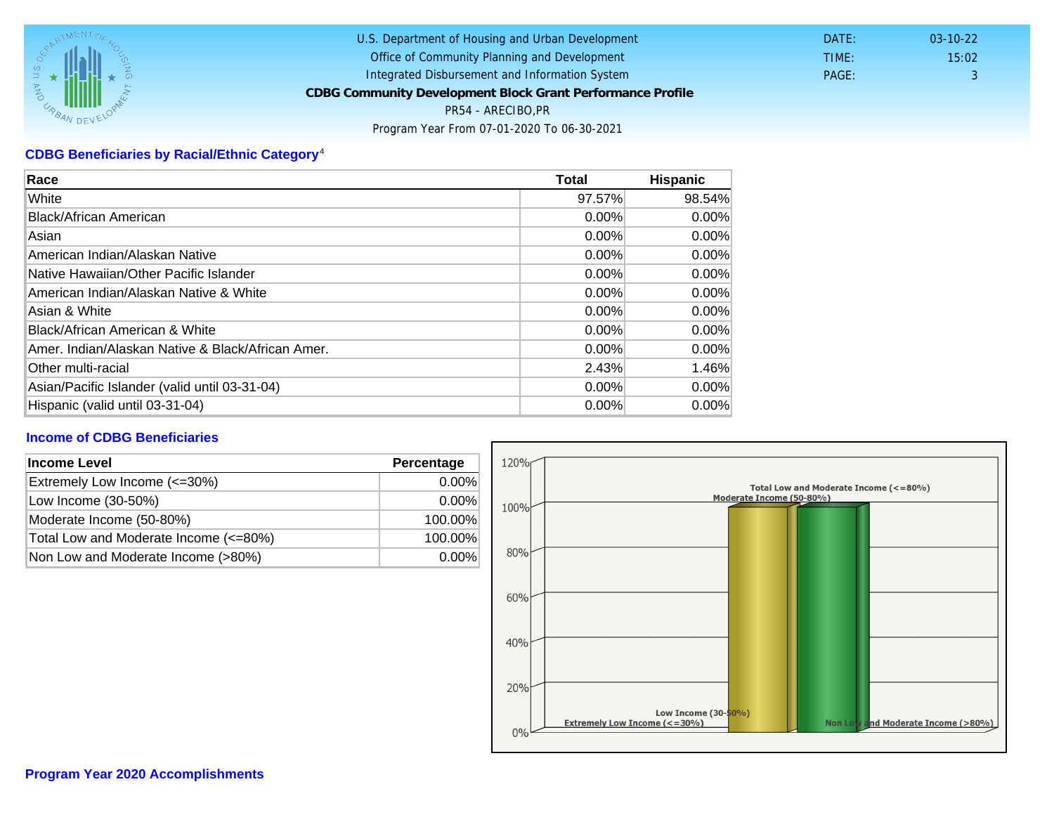## CDBG Beneficiaries by Racial/Ethnic Category <sup>4</sup>

| Race                                              | Total    | Hispanic |
|---------------------------------------------------|----------|----------|
| White                                             | 97.57%   | 98.54%   |
| Black/African American                            | $0.00\%$ | $0.00\%$ |
| Asian                                             | $0.00\%$ | 0.00%    |
| American Indian/Alaskan Native                    | 0.00%    | $0.00\%$ |
| lNative Hawaiian/Other Pacific Islander           | $0.00\%$ | $0.00\%$ |
| American Indian/Alaskan Native & White            | 0.00%    | $0.00\%$ |
| Asian & White                                     | $0.00\%$ | $0.00\%$ |
| Black/African American & White                    | 0.00%    | $0.00\%$ |
| Amer. Indian/Alaskan Native & Black/African Amer. | $0.00\%$ | $0.00\%$ |
| <b>Other multi-racial</b>                         | 2.43%    | 1.46%    |
| Asian/Pacific Islander (valid until 03-31-04)     | 0.00%    | 0.00%    |
| Hispanic (valid until 03-31-04)                   | 0.00%    | $0.00\%$ |

## Income of CDBG Beneficiaries

| Income Level                          | Percentage |
|---------------------------------------|------------|
| Extremely Low Income (<=30%)          | $0.00\%$   |
| Low Income (30-50%)                   | $0.00\%$   |
| Moderate Income (50-80%)              | 100.00%    |
| Total Low and Moderate Income (<=80%) | 100.00%    |
| Non Low and Moderate Income (>80%)    | $0.00\%$   |